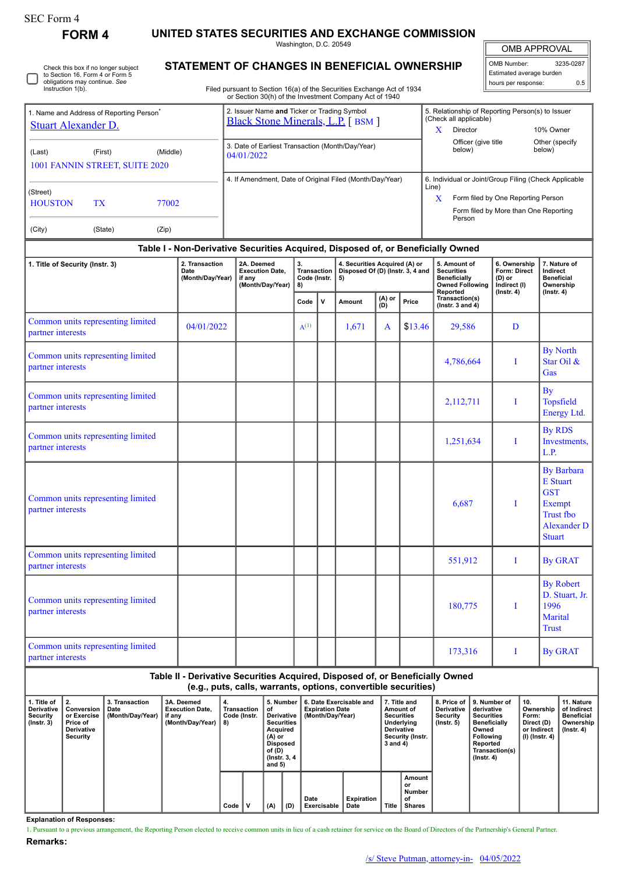| SEC Form 4 |
|------------|
|------------|

**FORM 4 UNITED STATES SECURITIES AND EXCHANGE COMMISSION**

Washington, D.C. 20549

OMB APPROVAL

 $\mathbb{I}$ 

| Check this box if no longer subject<br>to Section 16. Form 4 or Form 5<br>obligations may continue. See<br>Instruction 1(b). | l o<br>STATEMENT OF CHANGES IN BENEFICIAL OWNERSHIP<br>  ho<br>Filed pursuant to Section 16(a) of the Securities Exchange Act of 1934<br>or Section 30(h) of the Investment Company Act of 1940 |                                                                   |  |  |  |  |  |  |  |
|------------------------------------------------------------------------------------------------------------------------------|-------------------------------------------------------------------------------------------------------------------------------------------------------------------------------------------------|-------------------------------------------------------------------|--|--|--|--|--|--|--|
| 1. Name and Address of Reporting Person <sup>®</sup><br>Stuart Alexander D.                                                  | 2. Issuer Name and Ticker or Trading Symbol<br><b>Black Stone Minerals, L.P.</b> [BSM ]                                                                                                         | 5. Relationship of Rep<br>(Check all applicable)<br>Director<br>x |  |  |  |  |  |  |  |
| (Middle)<br>(First)<br>(Last)<br>1001 FANNIN STREET, SUITE 2020                                                              | 3. Date of Earliest Transaction (Month/Day/Year)<br>04/01/2022                                                                                                                                  | Officer (give t<br>below)                                         |  |  |  |  |  |  |  |
| (Strast)                                                                                                                     | 4. If Amendment, Date of Original Filed (Month/Day/Year)                                                                                                                                        | 6. Individual or Joint/G<br>Line)                                 |  |  |  |  |  |  |  |

| OMB Number:              | 3235-0287 |
|--------------------------|-----------|
| Estimated average burden |           |
| hours per response:      | ሰ 5       |

| 1. Name and Address of Reporting Person <sup>*</sup><br><b>Stuart Alexander D.</b> |                                                                                                                                                                                                                          | 2. Issuer Name and Ticker or Trading Symbol<br><b>Black Stone Minerals, L.P.</b> [BSM ]                                                         |                                         |  |                                                                         |                               | 5. Relationship of Reporting Person(s) to Issuer<br>(Check all applicable)<br>X<br>Director<br>10% Owner |                                                                                                |                                                        |                                                                                                                         |  |
|------------------------------------------------------------------------------------|--------------------------------------------------------------------------------------------------------------------------------------------------------------------------------------------------------------------------|-------------------------------------------------------------------------------------------------------------------------------------------------|-----------------------------------------|--|-------------------------------------------------------------------------|-------------------------------|----------------------------------------------------------------------------------------------------------|------------------------------------------------------------------------------------------------|--------------------------------------------------------|-------------------------------------------------------------------------------------------------------------------------|--|
| (First)<br>(Middle)<br>(Last)<br>1001 FANNIN STREET, SUITE 2020                    | 3. Date of Earliest Transaction (Month/Day/Year)<br>04/01/2022                                                                                                                                                           |                                                                                                                                                 |                                         |  |                                                                         | Officer (give title<br>below) | Other (specify<br>below)                                                                                 |                                                                                                |                                                        |                                                                                                                         |  |
| (Street)<br><b>HOUSTON</b><br><b>TX</b><br>77002<br>(Zip)<br>(City)<br>(State)     | 6. Individual or Joint/Group Filing (Check Applicable<br>4. If Amendment, Date of Original Filed (Month/Day/Year)<br>Line)<br>Form filed by One Reporting Person<br>X<br>Form filed by More than One Reporting<br>Person |                                                                                                                                                 |                                         |  |                                                                         |                               |                                                                                                          |                                                                                                |                                                        |                                                                                                                         |  |
|                                                                                    |                                                                                                                                                                                                                          | Table I - Non-Derivative Securities Acquired, Disposed of, or Beneficially Owned                                                                |                                         |  |                                                                         |                               |                                                                                                          |                                                                                                |                                                        |                                                                                                                         |  |
| 1. Title of Security (Instr. 3)                                                    | 2. Transaction<br>Date<br>(Month/Day/Year)                                                                                                                                                                               | 2A. Deemed<br><b>Execution Date,</b><br>if any<br>(Month/Day/Year)                                                                              | 3.<br>Transaction<br>Code (Instr.<br>8) |  | 4. Securities Acquired (A) or<br>Disposed Of (D) (Instr. 3, 4 and<br>5) |                               |                                                                                                          | 5. Amount of<br><b>Securities</b><br><b>Beneficially</b><br><b>Owned Following</b><br>Reported | 6. Ownership<br>Form: Direct<br>(D) or<br>Indirect (I) | 7. Nature of<br>Indirect<br><b>Beneficial</b><br>Ownership                                                              |  |
|                                                                                    |                                                                                                                                                                                                                          |                                                                                                                                                 | Code<br>v                               |  | (A) or<br>Price<br>Amount<br>(D)                                        |                               |                                                                                                          | Transaction(s)<br>( $lnstr. 3 and 4$ )                                                         | $($ Instr. 4 $)$                                       | $($ lnstr. 4 $)$                                                                                                        |  |
| Common units representing limited<br>partner interests                             | 04/01/2022                                                                                                                                                                                                               |                                                                                                                                                 | $A^{(1)}$                               |  | 1,671                                                                   | A                             | \$13.46                                                                                                  | 29,586                                                                                         | D                                                      |                                                                                                                         |  |
| Common units representing limited<br>partner interests                             |                                                                                                                                                                                                                          |                                                                                                                                                 |                                         |  |                                                                         |                               |                                                                                                          | 4,786,664                                                                                      | 1                                                      | <b>By North</b><br>Star Oil &<br>Gas                                                                                    |  |
| Common units representing limited<br>partner interests                             |                                                                                                                                                                                                                          |                                                                                                                                                 |                                         |  |                                                                         |                               |                                                                                                          | 2,112,711                                                                                      | Ι                                                      | <b>By</b><br>Topsfield<br>Energy Ltd.                                                                                   |  |
| Common units representing limited<br>partner interests                             |                                                                                                                                                                                                                          |                                                                                                                                                 |                                         |  |                                                                         |                               |                                                                                                          | 1,251,634                                                                                      | -1                                                     | <b>By RDS</b><br>Investments,<br>L.P.                                                                                   |  |
| Common units representing limited<br>partner interests                             |                                                                                                                                                                                                                          |                                                                                                                                                 |                                         |  |                                                                         |                               |                                                                                                          | 6,687                                                                                          | I                                                      | <b>By Barbara</b><br><b>E</b> Stuart<br><b>GST</b><br>Exempt<br><b>Trust fbo</b><br><b>Alexander D</b><br><b>Stuart</b> |  |
| Common units representing limited<br>partner interests                             |                                                                                                                                                                                                                          |                                                                                                                                                 |                                         |  |                                                                         |                               |                                                                                                          | 551,912                                                                                        | I                                                      | <b>By GRAT</b>                                                                                                          |  |
| Common units representing limited<br>partner interests                             |                                                                                                                                                                                                                          |                                                                                                                                                 |                                         |  |                                                                         |                               |                                                                                                          | 180,775                                                                                        | Ι                                                      | <b>By Robert</b><br>D. Stuart, Jr.<br>1996<br>Marital<br><b>Trust</b>                                                   |  |
| Common units representing limited<br>partner interests                             |                                                                                                                                                                                                                          |                                                                                                                                                 |                                         |  |                                                                         |                               |                                                                                                          | 173,316                                                                                        | Ι                                                      | <b>By GRAT</b>                                                                                                          |  |
|                                                                                    |                                                                                                                                                                                                                          | Table II - Derivative Securities Acquired, Disposed of, or Beneficially Owned<br>(e.g., puts, calls, warrants, options, convertible securities) |                                         |  |                                                                         |                               |                                                                                                          |                                                                                                |                                                        |                                                                                                                         |  |

| 1. Title of<br>Derivative<br>Security<br>$($ lnstr. 3 $)$ | ี 2.<br>Conversion<br>or Exercise<br>Price of<br><b>Derivative</b><br>Security | 3. Transaction<br>Date<br>(Month/Day/Year) | 3A. Deemed<br><b>Execution Date.</b><br>if any<br>(Month/Day/Year) | 4.<br>Transaction<br>Code (Instr.<br>8) |  | 5. Number<br>οf<br>Derivative<br><b>Securities</b><br>Acquired<br>(A) or<br>Disposed<br>of (D)<br>(Instr. 3, 4)<br>and $5)$ |   | 6. Date Exercisable and<br><b>Expiration Date</b><br>(Month/Day/Year) |     | 7. Title and<br>Amount of<br><b>Securities</b><br>Underlying<br><b>Derivative</b><br>Security (Instr.<br>3 and 4) |                           | <b>Derivative</b><br>Security<br>$($ lnstr. 5 $)$ | 8. Price of 19. Number of<br>derivative<br><b>Securities</b><br><b>Beneficially</b><br>Owned<br><b>Following</b><br>Reported<br>Transaction(s)<br>(Instr. 4) | 10.<br>Ownership<br>Form:<br>Direct (D)<br>or Indirect<br>  (I) (Instr. 4) | 11. Nature<br>of Indirect<br><b>Beneficial</b><br>Ownership<br>(Instr. 4) |  |  |
|-----------------------------------------------------------|--------------------------------------------------------------------------------|--------------------------------------------|--------------------------------------------------------------------|-----------------------------------------|--|-----------------------------------------------------------------------------------------------------------------------------|---|-----------------------------------------------------------------------|-----|-------------------------------------------------------------------------------------------------------------------|---------------------------|---------------------------------------------------|--------------------------------------------------------------------------------------------------------------------------------------------------------------|----------------------------------------------------------------------------|---------------------------------------------------------------------------|--|--|
|                                                           |                                                                                |                                            |                                                                    |                                         |  | Code                                                                                                                        | v | (A)                                                                   | (D) | Date<br>Exercisable                                                                                               | <b>Expiration</b><br>Date | <b>Title</b>                                      | Amount<br>or<br>Number<br>of<br><b>Shares</b>                                                                                                                |                                                                            |                                                                           |  |  |

**Explanation of Responses:**

1. Pursuant to a previous arrangement, the Reporting Person elected to receive common units in lieu of a cash retainer for service on the Board of Directors of the Partnership's General Partner. **Remarks:**